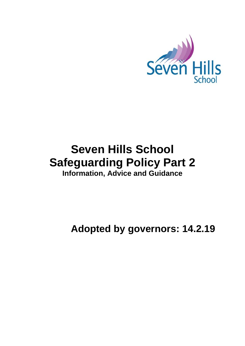

# **Seven Hills School Safeguarding Policy Part 2**

**Information, Advice and Guidance**

**Adopted by governors: 14.2.19**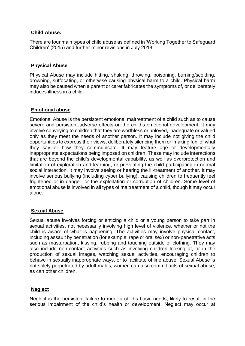#### **Child Abuse:**

There are four main types of child abuse as defined in 'Working Together to Safeguard Children' (2015) and further minor revisions in July 2018.

#### **Physical Abuse**

Physical Abuse may include hitting, shaking, throwing, poisoning, burning/scolding, drowning, suffocating, or otherwise causing physical harm to a child. Physical harm may also be caused when a parent or carer fabricates the symptoms of, or deliberately induces illness in a child.

## **Emotional abuse**

Emotional Abuse is the persistent emotional maltreatment of a child such as to cause severe and persistent adverse effects on the child's emotional development. It may involve conveying to children that they are worthless or unloved, inadequate or valued only as they meet the needs of another person. It may include not giving the child opportunities to express their views, deliberately silencing them or 'making fun' of what they say or how they communicate. It may feature age or developmentally inappropriate expectations being imposed on children. These may include interactions that are beyond the child's developmental capability, as well as overprotection and limitation of exploration and learning, or preventing the child participating in normal social interaction. It may involve seeing or hearing the ill-treatment of another. It may involve serious bullying (including cyber bullying), causing children to frequently feel frightened or in danger, or the exploitation or corruption of children. Some level of emotional abuse is involved in all types of maltreatment of a child, though it may occur alone.

## **Sexual Abuse**

Sexual abuse involves forcing or enticing a child or a young person to take part in sexual activities, not necessarily involving high level of violence, whether or not the child is aware of what is happening. The activities may involve physical contact, including assault by penetration (for example, rape or oral sex) or non-penetrative acts such as masturbation, kissing, rubbing and touching outside of clothing. They may also include non-contact activities such as involving children looking at, or in the production of sexual images, watching sexual activities, encouraging children to behave in sexually inappropriate ways, or to facilitate offline abuse. Sexual Abuse is not solely perpetrated by adult males; women can also commit acts of sexual abuse, as can other children.

#### **Neglect**

Neglect is the persistent failure to meet a child's basic needs, likely to result in the serious impairment of the child's health or development. Neglect may occur at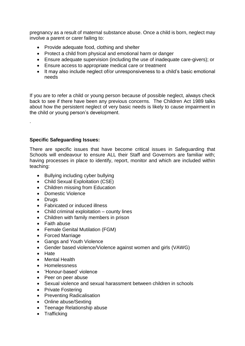pregnancy as a result of maternal substance abuse. Once a child is born, neglect may involve a parent or carer failing to:

- Provide adequate food, clothing and shelter
- Protect a child from physical and emotional harm or danger
- Ensure adequate supervision (including the use of inadequate care-givers); or
- Ensure access to appropriate medical care or treatment
- It may also include neglect of/or unresponsiveness to a child's basic emotional needs

If you are to refer a child or young person because of possible neglect, always check back to see if there have been any previous concerns. The Children Act 1989 talks about how the persistent neglect of very basic needs is likely to cause impairment in the child or young person's development.

## **Specific Safeguarding Issues:**

There are specific issues that have become critical issues in Safeguarding that Schools will endeavour to ensure ALL their Staff and Governors are familiar with; having processes in place to identify, report, monitor and which are included within teaching:

- Bullying including cyber bullying
- Child Sexual Exploitation (CSE)
- Children missing from Education
- Domestic Violence
- Drugs

.

- Fabricated or induced illness
- Child criminal exploitation county lines
- Children with family members in prison
- Faith abuse
- Female Genital Mutilation (FGM)
- Forced Marriage
- Gangs and Youth Violence
- Gender based violence/Violence against women and girls (VAWG)
- Hate
- Mental Health
- Homelessness
- 'Honour-based' violence
- Peer on peer abuse
- Sexual violence and sexual harassment between children in schools
- Private Fostering
- Preventing Radicalisation
- Online abuse/Sexting
- Teenage Relationship abuse
- Trafficking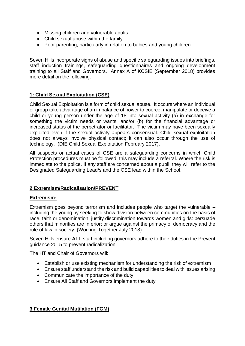- Missing children and vulnerable adults
- Child sexual abuse within the family
- Poor parenting, particularly in relation to babies and young children

Seven Hills incorporate signs of abuse and specific safeguarding issues into briefings, staff induction trainings, safeguarding questionnaires and ongoing development training to all Staff and Governors. Annex A of KCSIE (September 2018) provides more detail on the following:

## **1: Child Sexual Exploitation (CSE)**

Child Sexual Exploitation is a form of child sexual abuse. It occurs where an individual or group take advantage of an imbalance of power to coerce, manipulate or deceive a child or young person under the age of 18 into sexual activity (a) in exchange for something the victim needs or wants, and/or (b) for the financial advantage or increased status of the perpetrator or facilitator. The victim may have been sexually exploited even if the sexual activity appears consensual. Child sexual exploitation does not always involve physical contact; it can also occur through the use of technology. (DfE Child Sexual Exploitation February 2017).

All suspects or actual cases of CSE are a safeguarding concerns in which Child Protection procedures must be followed; this may include a referral. Where the risk is immediate to the police. If any staff are concerned about a pupil, they will refer to the Designated Safeguarding Lead/s and the CSE lead within the School.

## **2 Extremism/Radicalisation/PREVENT**

## **Extremism:**

Extremism goes beyond terrorism and includes people who target the vulnerable – including the young by seeking to show division between communities on the basis of race, faith or denomination: justify discrimination towards women and girls: persuade others that minorities are inferior; or argue against the primacy of democracy and the rule of law in society (Working Together July 2018)

Seven Hills ensure **ALL** staff including governors adhere to their duties in the Prevent guidance 2015 to prevent radicalization

The HT and Chair of Governors will:

- Establish or use existing mechanism for understanding the risk of extremism
- Ensure staff understand the risk and build capabilities to deal with issues arising
- Communicate the importance of the duty
- Ensure All Staff and Governors implement the duty

## **3 Female Genital Mutilation (FGM)**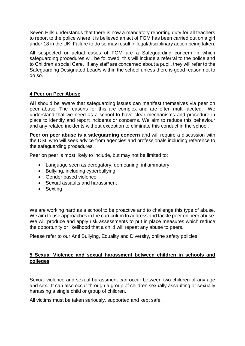Seven Hills understands that there is now a mandatory reporting duty for all teachers to report to the police where it is believed an act of FGM has been carried out on a girl under 18 in the UK. Failure to do so may result in legal/disciplinary action being taken.

All suspected or actual cases of FGM are a Safeguarding concern in which safeguarding procedures will be followed; this will include a referral to the police and to Children's social Care. If any staff are concerned about a pupil, they will refer to the Safeguarding Designated Lead/s within the school unless there is good reason not to do so.

#### **4 Peer on Peer Abuse**

**All** should be aware that safeguarding issues can manifest themselves via peer on peer abuse. The reasons for this are complex and are often multi-faceted. We understand that we need as a school to have clear mechanisms and procedure in place to identify and report incidents or concerns. We aim to reduce this behaviour and any related incidents without exception to eliminate this conduct in the school.

**Peer on peer abuse is a safeguarding concern** and will require a discussion with the DSL who will seek advice from agencies and professionals including reference to the safeguarding procedures.

Peer on peer is most likely to include, but may not be limited to:

- Language seen as derogatory, demeaning, inflammatory;
- Bullying, including cyberbullying;
- Gender based violence
- Sexual assaults and harassment
- Sexting

We are working hard as a school to be proactive and to challenge this type of abuse. We aim to use approaches in the curriculum to address and tackle peer on peer abuse. We will produce and apply risk assessments to put in place measures which reduce the opportunity or likelihood that a child will repeat any abuse to peers.

Please refer to our Anti Bullying, Equality and Diversity, online safety policies

## **5 Sexual Violence and sexual harassment between children in schools and colleges**

Sexual violence and sexual harassment can occur between two children of any age and sex. It can also occur through a group of children sexually assaulting or sexually harassing a single child or group of children.

All victims must be taken seriously, supported and kept safe.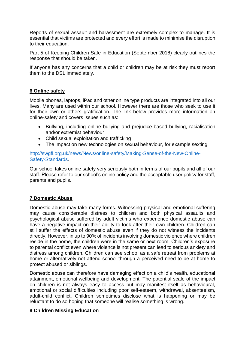Reports of sexual assault and harassment are extremely complex to manage. It is essential that victims are protected and every effort is made to minimise the disruption to their education.

Part 5 of Keeping Children Safe in Education (September 2018) clearly outlines the response that should be taken.

If anyone has any concerns that a child or children may be at risk they must report them to the DSL immediately.

## **6 Online safety**

Mobile phones, laptops, iPad and other online type products are integrated into all our lives. Many are used within our school. However there are those who seek to use it for their own or others gratification. The link below provides more information on online-safety and covers issues such as:

- Bullying, including online bullying and prejudice-based bullying, racialisation and/or extremist behaviour
- Child sexual exploitation and trafficking
- The impact on new technologies on sexual behaviour, for example sexting.

#### [http://swgfl.org.uk/news/News/online-safety/Making-Sense-of-the-New-Online-](http://swgfl.org.uk/news/News/online-safety/Making-Sense-of-the-New-Online-Safety-Standards)[Safety-Standards.](http://swgfl.org.uk/news/News/online-safety/Making-Sense-of-the-New-Online-Safety-Standards)

Our school takes online safety very seriously both in terms of our pupils and all of our staff. Please refer to our school's online policy and the acceptable user policy for staff, parents and pupils.

## **7 Domestic Abuse**

Domestic abuse may take many forms. Witnessing physical and emotional suffering may cause considerable distress to children and both physical assaults and psychological abuse suffered by adult victims who experience domestic abuse can have a negative impact on their ability to look after their own children. Children can still suffer the effects of domestic abuse even if they do not witness the incidents directly. However, in up to 90% of incidents involving domestic violence where children reside in the home, the children were in the same or next room. Children's exposure to parental conflict even where violence is not present can lead to serious anxiety and distress among children. Children can see school as a safe retreat from problems at home or alternatively not attend school through a perceived need to be at home to protect abused or siblings.

Domestic abuse can therefore have damaging effect on a child's health, educational attainment, emotional wellbeing and development. The potential scale of the impact on children is not always easy to access but may manifest itself as behavioural, emotional or social difficulties including poor self-esteem, withdrawal, absenteeism, adult-child conflict. Children sometimes disclose what is happening or may be reluctant to do so hoping that someone will realise something is wrong.

#### **8 Children Missing Education**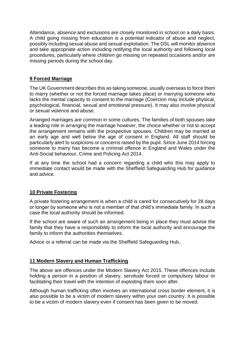Attendance, absence and exclusions are closely monitored in school on a daily basis. A child going missing from education is a potential indicator of abuse and neglect, possibly including sexual abuse and sexual exploitation. The DSL will monitor absence and take appropriate action including notifying the local authority and following local procedures, particularly where children go missing on repeated occasions and/or are missing periods during the school day.

## **9 Forced Marriage**

The UK Government describes this as taking someone, usually overseas to force them to marry (whether or not the forced marriage takes place) or marrying someone who lacks the mental capacity to consent to the marriage (Coercion may include physical, psychological, financial, sexual and emotional pressure). It may also involve physical or sexual violence and abuse.

Arranged marriages are common in some cultures. The families of both spouses take a leading role in arranging the marriage however, the choice whether or not to accept the arrangement remains with the prospective spouses. Children may be married at an early age and well below the age of consent in England. All staff should be particularly alert to suspicions or concerns raised by the pupil. Since June 2014 forcing someone to marry has become a criminal offence in England and Wales under the Anti-Social behaviour, Crime and Policing Act 2014.

If at any time the school had a concern regarding a child who this may apply to immediate contact would be made with the Sheffield Safeguarding Hub for guidance and advice.

## **10 Private Fostering**

A private fostering arrangement is when a child is cared for consecutively for 28 days or longer by someone who is not a member of that child's immediate family. In such a case the local authority should be informed.

If the school are aware of such an arrangement being in place they must advise the family that they have a responsibility to inform the local authority and encourage the family to inform the authorities themselves.

Advice or a referral can be made via the Sheffield Safeguarding Hub..

## **11 Modern Slavery and Human Trafficking**

The above are offences under the Modern Slavery Act 2015. These offences include holding a person in a position of slavery, servitude forced or compulsory labour or facilitating their travel with the intention of exploiting them soon after.

Although human trafficking often involves an international cross border element, it is also possible to be a victim of modern slavery within your own country. It is possible to be a victim of modern slavery even if consent has been given to be moved.